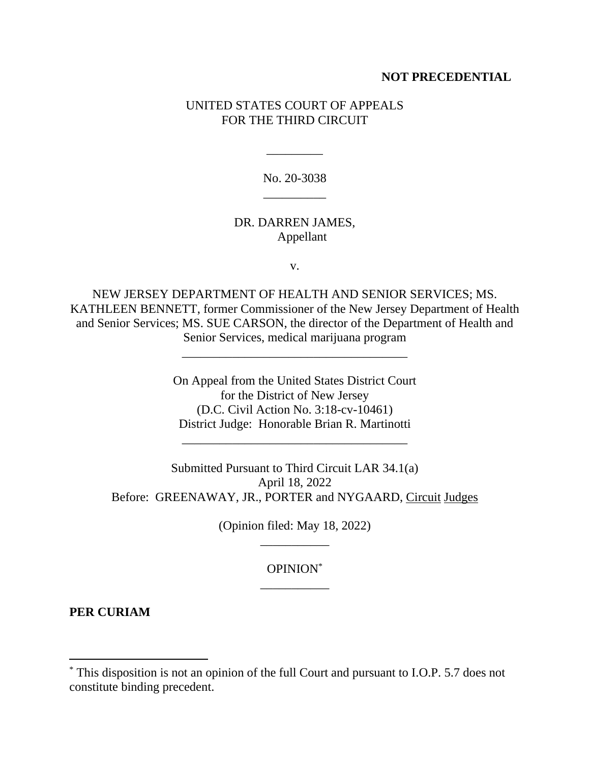## **NOT PRECEDENTIAL**

## UNITED STATES COURT OF APPEALS FOR THE THIRD CIRCUIT

No. 20-3038 \_\_\_\_\_\_\_\_\_\_

\_\_\_\_\_\_\_\_\_

## DR. DARREN JAMES, Appellant

v.

NEW JERSEY DEPARTMENT OF HEALTH AND SENIOR SERVICES; MS. KATHLEEN BENNETT, former Commissioner of the New Jersey Department of Health and Senior Services; MS. SUE CARSON, the director of the Department of Health and Senior Services, medical marijuana program

\_\_\_\_\_\_\_\_\_\_\_\_\_\_\_\_\_\_\_\_\_\_\_\_\_\_\_\_\_\_\_\_\_\_\_\_

On Appeal from the United States District Court for the District of New Jersey (D.C. Civil Action No. 3:18-cv-10461) District Judge: Honorable Brian R. Martinotti

\_\_\_\_\_\_\_\_\_\_\_\_\_\_\_\_\_\_\_\_\_\_\_\_\_\_\_\_\_\_\_\_\_\_\_\_

Submitted Pursuant to Third Circuit LAR 34.1(a) April 18, 2022 Before: GREENAWAY, JR., PORTER and NYGAARD, Circuit Judges

> (Opinion filed: May 18, 2022) \_\_\_\_\_\_\_\_\_\_\_

> > OPINION\* \_\_\_\_\_\_\_\_\_\_\_

**PER CURIAM**

<sup>\*</sup> This disposition is not an opinion of the full Court and pursuant to I.O.P. 5.7 does not constitute binding precedent.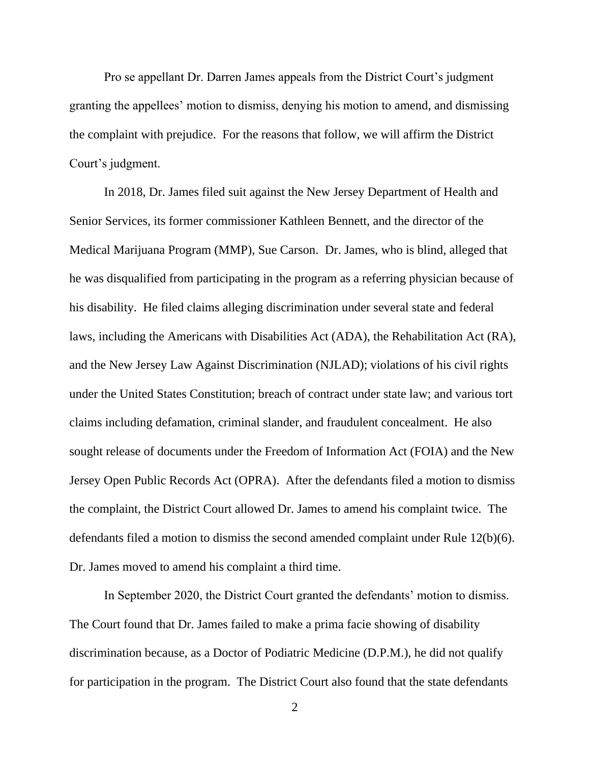Pro se appellant Dr. Darren James appeals from the District Court's judgment granting the appellees' motion to dismiss, denying his motion to amend, and dismissing the complaint with prejudice. For the reasons that follow, we will affirm the District Court's judgment.

In 2018, Dr. James filed suit against the New Jersey Department of Health and Senior Services, its former commissioner Kathleen Bennett, and the director of the Medical Marijuana Program (MMP), Sue Carson. Dr. James, who is blind, alleged that he was disqualified from participating in the program as a referring physician because of his disability. He filed claims alleging discrimination under several state and federal laws, including the Americans with Disabilities Act (ADA), the Rehabilitation Act (RA), and the New Jersey Law Against Discrimination (NJLAD); violations of his civil rights under the United States Constitution; breach of contract under state law; and various tort claims including defamation, criminal slander, and fraudulent concealment. He also sought release of documents under the Freedom of Information Act (FOIA) and the New Jersey Open Public Records Act (OPRA). After the defendants filed a motion to dismiss the complaint, the District Court allowed Dr. James to amend his complaint twice. The defendants filed a motion to dismiss the second amended complaint under Rule 12(b)(6). Dr. James moved to amend his complaint a third time.

In September 2020, the District Court granted the defendants' motion to dismiss. The Court found that Dr. James failed to make a prima facie showing of disability discrimination because, as a Doctor of Podiatric Medicine (D.P.M.), he did not qualify for participation in the program. The District Court also found that the state defendants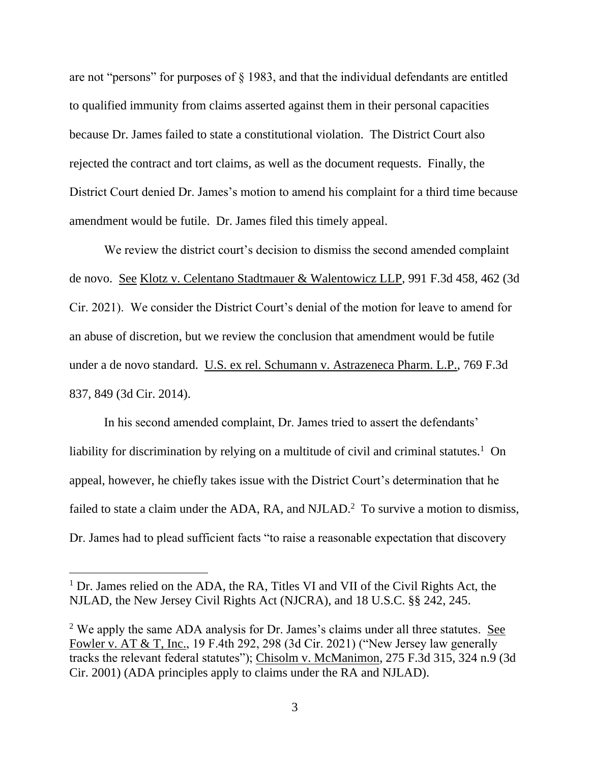are not "persons" for purposes of § 1983, and that the individual defendants are entitled to qualified immunity from claims asserted against them in their personal capacities because Dr. James failed to state a constitutional violation. The District Court also rejected the contract and tort claims, as well as the document requests. Finally, the District Court denied Dr. James's motion to amend his complaint for a third time because amendment would be futile. Dr. James filed this timely appeal.

We review the district court's decision to dismiss the second amended complaint de novo. See Klotz v. Celentano Stadtmauer & Walentowicz LLP, 991 F.3d 458, 462 (3d Cir. 2021). We consider the District Court's denial of the motion for leave to amend for an abuse of discretion, but we review the conclusion that amendment would be futile under a de novo standard. U.S. ex rel. Schumann v. Astrazeneca Pharm. L.P., 769 F.3d 837, 849 (3d Cir. 2014).

In his second amended complaint, Dr. James tried to assert the defendants' liability for discrimination by relying on a multitude of civil and criminal statutes.<sup>1</sup> On appeal, however, he chiefly takes issue with the District Court's determination that he failed to state a claim under the ADA, RA, and NJLAD.<sup>2</sup> To survive a motion to dismiss, Dr. James had to plead sufficient facts "to raise a reasonable expectation that discovery

<sup>&</sup>lt;sup>1</sup> Dr. James relied on the ADA, the RA, Titles VI and VII of the Civil Rights Act, the NJLAD, the New Jersey Civil Rights Act (NJCRA), and 18 U.S.C. §§ 242, 245.

<sup>&</sup>lt;sup>2</sup> We apply the same ADA analysis for Dr. James's claims under all three statutes. See Fowler v. AT & T, Inc., 19 F.4th 292, 298 (3d Cir. 2021) ("New Jersey law generally tracks the relevant federal statutes"); Chisolm v. McManimon, 275 F.3d 315, 324 n.9 (3d Cir. 2001) (ADA principles apply to claims under the RA and NJLAD).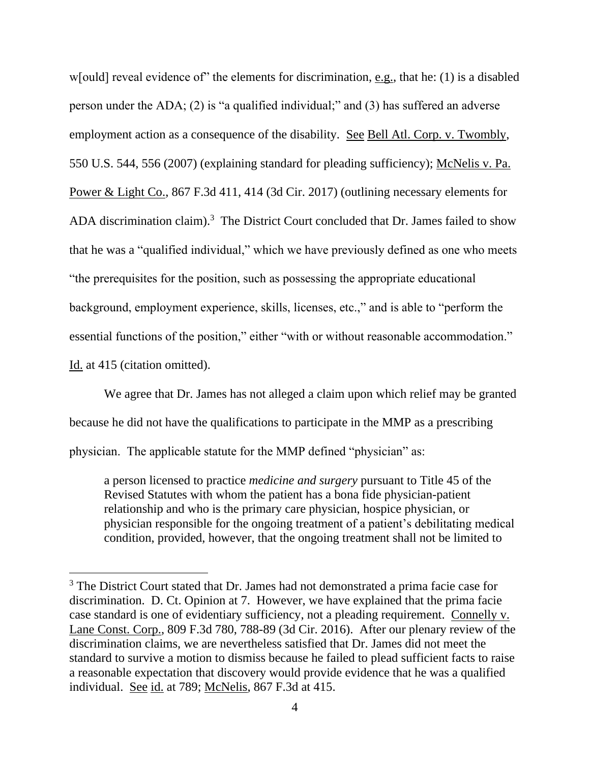w[ould] reveal evidence of" the elements for discrimination, e.g., that he: (1) is a disabled person under the ADA; (2) is "a qualified individual;" and (3) has suffered an adverse employment action as a consequence of the disability. See Bell Atl. Corp. v. Twombly, 550 U.S. 544, 556 (2007) (explaining standard for pleading sufficiency); McNelis v. Pa. Power & Light Co., 867 F.3d 411, 414 (3d Cir. 2017) (outlining necessary elements for ADA discrimination claim).<sup>3</sup> The District Court concluded that Dr. James failed to show that he was a "qualified individual," which we have previously defined as one who meets "the prerequisites for the position, such as possessing the appropriate educational background, employment experience, skills, licenses, etc.," and is able to "perform the essential functions of the position," either "with or without reasonable accommodation." Id. at 415 (citation omitted).

We agree that Dr. James has not alleged a claim upon which relief may be granted because he did not have the qualifications to participate in the MMP as a prescribing physician. The applicable statute for the MMP defined "physician" as:

a person licensed to practice *medicine and surgery* pursuant to Title 45 of the Revised Statutes with whom the patient has a bona fide physician-patient relationship and who is the primary care physician, hospice physician, or physician responsible for the ongoing treatment of a patient's debilitating medical condition, provided, however, that the ongoing treatment shall not be limited to

<sup>&</sup>lt;sup>3</sup> The District Court stated that Dr. James had not demonstrated a prima facie case for discrimination. D. Ct. Opinion at 7. However, we have explained that the prima facie case standard is one of evidentiary sufficiency, not a pleading requirement. Connelly v. Lane Const. Corp., 809 F.3d 780, 788-89 (3d Cir. 2016). After our plenary review of the discrimination claims, we are nevertheless satisfied that Dr. James did not meet the standard to survive a motion to dismiss because he failed to plead sufficient facts to raise a reasonable expectation that discovery would provide evidence that he was a qualified individual. See id. at 789; McNelis, 867 F.3d at 415.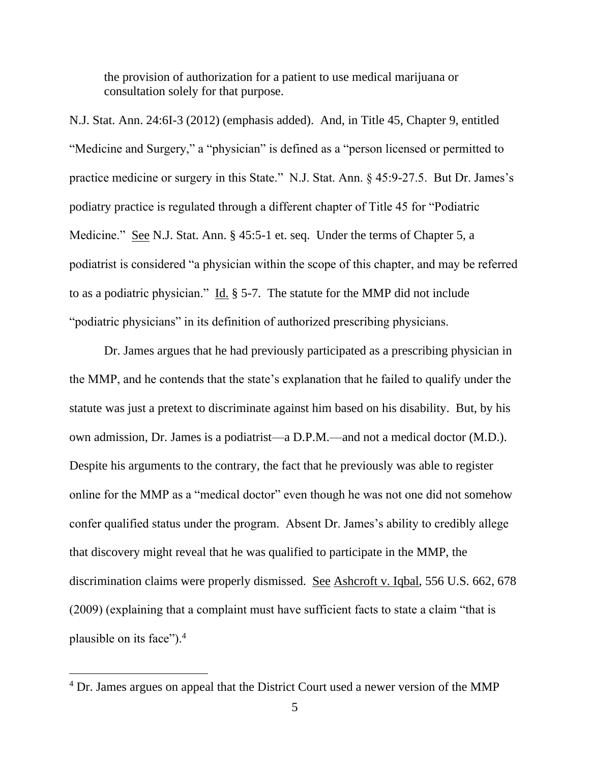the provision of authorization for a patient to use medical marijuana or consultation solely for that purpose.

N.J. Stat. Ann. 24:6I-3 (2012) (emphasis added). And, in Title 45, Chapter 9, entitled "Medicine and Surgery," a "physician" is defined as a "person licensed or permitted to practice medicine or surgery in this State." N.J. Stat. Ann. § 45:9-27.5. But Dr. James's podiatry practice is regulated through a different chapter of Title 45 for "Podiatric Medicine." See N.J. Stat. Ann. § 45:5-1 et. seq. Under the terms of Chapter 5, a podiatrist is considered "a physician within the scope of this chapter, and may be referred to as a podiatric physician." Id. § 5-7. The statute for the MMP did not include "podiatric physicians" in its definition of authorized prescribing physicians.

Dr. James argues that he had previously participated as a prescribing physician in the MMP, and he contends that the state's explanation that he failed to qualify under the statute was just a pretext to discriminate against him based on his disability. But, by his own admission, Dr. James is a podiatrist—a D.P.M.—and not a medical doctor (M.D.). Despite his arguments to the contrary, the fact that he previously was able to register online for the MMP as a "medical doctor" even though he was not one did not somehow confer qualified status under the program. Absent Dr. James's ability to credibly allege that discovery might reveal that he was qualified to participate in the MMP, the discrimination claims were properly dismissed. See Ashcroft v. Iqbal, 556 U.S. 662, 678 (2009) (explaining that a complaint must have sufficient facts to state a claim "that is plausible on its face").<sup>4</sup>

<sup>&</sup>lt;sup>4</sup> Dr. James argues on appeal that the District Court used a newer version of the MMP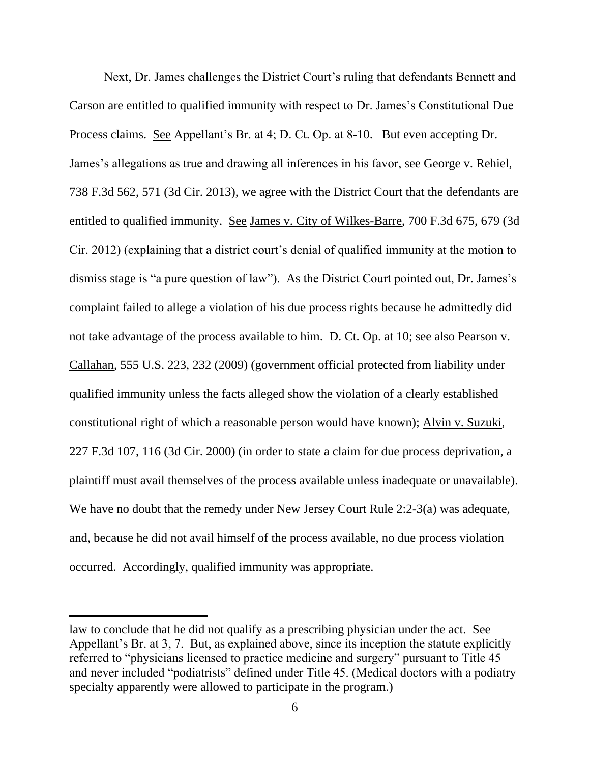Next, Dr. James challenges the District Court's ruling that defendants Bennett and Carson are entitled to qualified immunity with respect to Dr. James's Constitutional Due Process claims. See Appellant's Br. at 4; D. Ct. Op. at 8-10. But even accepting Dr. James's allegations as true and drawing all inferences in his favor, <u>see George v. Rehiel</u>, 738 F.3d 562, 571 (3d Cir. 2013), we agree with the District Court that the defendants are entitled to qualified immunity. See James v. City of Wilkes-Barre, 700 F.3d 675, 679 (3d Cir. 2012) (explaining that a district court's denial of qualified immunity at the motion to dismiss stage is "a pure question of law"). As the District Court pointed out, Dr. James's complaint failed to allege a violation of his due process rights because he admittedly did not take advantage of the process available to him. D. Ct. Op. at 10; see also Pearson v. Callahan, 555 U.S. 223, 232 (2009) (government official protected from liability under qualified immunity unless the facts alleged show the violation of a clearly established constitutional right of which a reasonable person would have known); Alvin v. Suzuki, 227 F.3d 107, 116 (3d Cir. 2000) (in order to state a claim for due process deprivation, a plaintiff must avail themselves of the process available unless inadequate or unavailable). We have no doubt that the remedy under New Jersey Court Rule 2:2-3(a) was adequate, and, because he did not avail himself of the process available, no due process violation occurred. Accordingly, qualified immunity was appropriate.

law to conclude that he did not qualify as a prescribing physician under the act. See Appellant's Br. at 3, 7. But, as explained above, since its inception the statute explicitly referred to "physicians licensed to practice medicine and surgery" pursuant to Title 45 and never included "podiatrists" defined under Title 45. (Medical doctors with a podiatry specialty apparently were allowed to participate in the program.)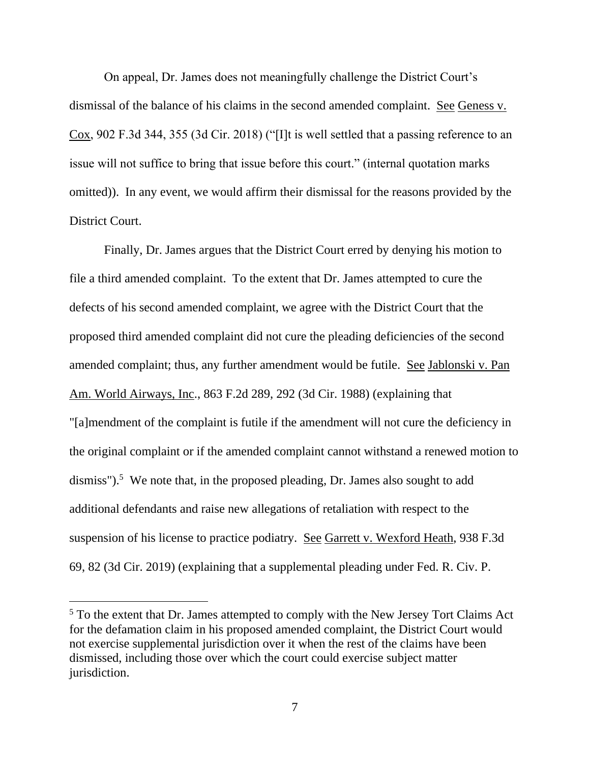On appeal, Dr. James does not meaningfully challenge the District Court's dismissal of the balance of his claims in the second amended complaint. See Geness v. Cox, 902 F.3d 344, 355 (3d Cir. 2018) ("[I]t is well settled that a passing reference to an issue will not suffice to bring that issue before this court." (internal quotation marks omitted)). In any event, we would affirm their dismissal for the reasons provided by the District Court.

Finally, Dr. James argues that the District Court erred by denying his motion to file a third amended complaint. To the extent that Dr. James attempted to cure the defects of his second amended complaint, we agree with the District Court that the proposed third amended complaint did not cure the pleading deficiencies of the second amended complaint; thus, any further amendment would be futile. See Jablonski v. Pan Am. World Airways, Inc., 863 F.2d 289, 292 (3d Cir. 1988) (explaining that "[a]mendment of the complaint is futile if the amendment will not cure the deficiency in the original complaint or if the amended complaint cannot withstand a renewed motion to dismiss").<sup>5</sup> We note that, in the proposed pleading, Dr. James also sought to add additional defendants and raise new allegations of retaliation with respect to the suspension of his license to practice podiatry. See Garrett v. Wexford Heath, 938 F.3d 69, 82 (3d Cir. 2019) (explaining that a supplemental pleading under Fed. R. Civ. P.

<sup>&</sup>lt;sup>5</sup> To the extent that Dr. James attempted to comply with the New Jersey Tort Claims Act for the defamation claim in his proposed amended complaint, the District Court would not exercise supplemental jurisdiction over it when the rest of the claims have been dismissed, including those over which the court could exercise subject matter jurisdiction.